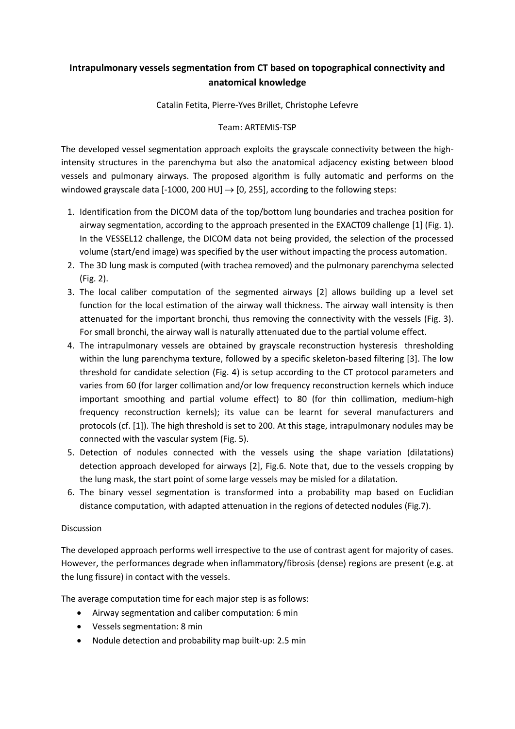## **Intrapulmonary vessels segmentation from CT based on topographical connectivity and anatomical knowledge**

Catalin Fetita, Pierre-Yves Brillet, Christophe Lefevre

## Team: ARTEMIS-TSP

The developed vessel segmentation approach exploits the grayscale connectivity between the highintensity structures in the parenchyma but also the anatomical adjacency existing between blood vessels and pulmonary airways. The proposed algorithm is fully automatic and performs on the windowed grayscale data [-1000, 200 HU]  $\rightarrow$  [0, 255], according to the following steps:

- 1. Identification from the DICOM data of the top/bottom lung boundaries and trachea position for airway segmentation, according to the approach presented in the EXACT09 challenge [1] (Fig. 1). In the VESSEL12 challenge, the DICOM data not being provided, the selection of the processed volume (start/end image) was specified by the user without impacting the process automation.
- 2. The 3D lung mask is computed (with trachea removed) and the pulmonary parenchyma selected (Fig. 2).
- 3. The local caliber computation of the segmented airways [2] allows building up a level set function for the local estimation of the airway wall thickness. The airway wall intensity is then attenuated for the important bronchi, thus removing the connectivity with the vessels (Fig. 3). For small bronchi, the airway wall is naturally attenuated due to the partial volume effect.
- 4. The intrapulmonary vessels are obtained by grayscale reconstruction hysteresis thresholding within the lung parenchyma texture, followed by a specific skeleton-based filtering [3]. The low threshold for candidate selection (Fig. 4) is setup according to the CT protocol parameters and varies from 60 (for larger collimation and/or low frequency reconstruction kernels which induce important smoothing and partial volume effect) to 80 (for thin collimation, medium-high frequency reconstruction kernels); its value can be learnt for several manufacturers and protocols (cf. [1]). The high threshold is set to 200. At this stage, intrapulmonary nodules may be connected with the vascular system (Fig. 5).
- 5. Detection of nodules connected with the vessels using the shape variation (dilatations) detection approach developed for airways [2], Fig.6. Note that, due to the vessels cropping by the lung mask, the start point of some large vessels may be misled for a dilatation.
- 6. The binary vessel segmentation is transformed into a probability map based on Euclidian distance computation, with adapted attenuation in the regions of detected nodules (Fig.7).

## Discussion

The developed approach performs well irrespective to the use of contrast agent for majority of cases. However, the performances degrade when inflammatory/fibrosis (dense) regions are present (e.g. at the lung fissure) in contact with the vessels.

The average computation time for each major step is as follows:

- Airway segmentation and caliber computation: 6 min
- Vessels segmentation: 8 min
- Nodule detection and probability map built-up: 2.5 min